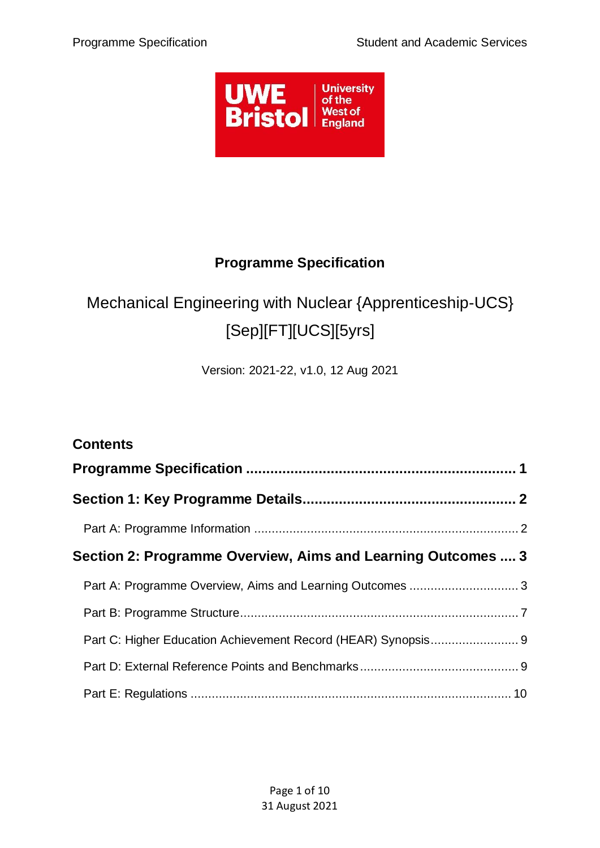

## **Programme Specification**

# <span id="page-0-0"></span>Mechanical Engineering with Nuclear {Apprenticeship-UCS} [Sep][FT][UCS][5yrs]

Version: 2021-22, v1.0, 12 Aug 2021

| <b>Contents</b>                                               |  |
|---------------------------------------------------------------|--|
|                                                               |  |
|                                                               |  |
|                                                               |  |
| Section 2: Programme Overview, Aims and Learning Outcomes  3  |  |
| Part A: Programme Overview, Aims and Learning Outcomes  3     |  |
|                                                               |  |
| Part C: Higher Education Achievement Record (HEAR) Synopsis 9 |  |
|                                                               |  |
|                                                               |  |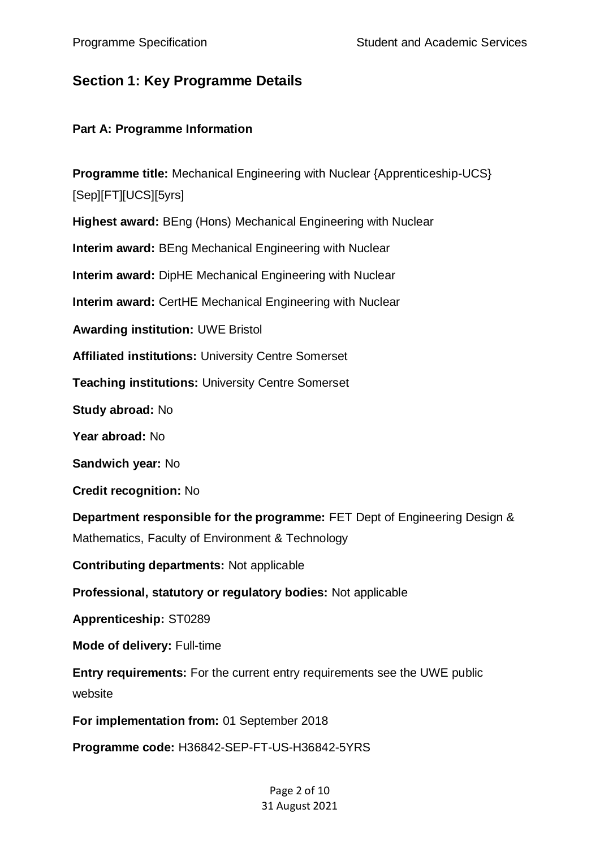## <span id="page-1-0"></span>**Section 1: Key Programme Details**

#### <span id="page-1-1"></span>**Part A: Programme Information**

**Programme title:** Mechanical Engineering with Nuclear {Apprenticeship-UCS} [Sep][FT][UCS][5yrs] **Highest award:** BEng (Hons) Mechanical Engineering with Nuclear **Interim award:** BEng Mechanical Engineering with Nuclear **Interim award:** DipHE Mechanical Engineering with Nuclear **Interim award:** CertHE Mechanical Engineering with Nuclear **Awarding institution:** UWE Bristol **Affiliated institutions:** University Centre Somerset **Teaching institutions:** University Centre Somerset **Study abroad:** No **Year abroad:** No **Sandwich year:** No **Credit recognition:** No **Department responsible for the programme:** FET Dept of Engineering Design & Mathematics, Faculty of Environment & Technology **Contributing departments:** Not applicable **Professional, statutory or regulatory bodies:** Not applicable **Apprenticeship:** ST0289 **Mode of delivery:** Full-time **Entry requirements:** For the current entry requirements see the UWE public website **For implementation from:** 01 September 2018 **Programme code:** H36842-SEP-FT-US-H36842-5YRS

#### Page 2 of 10 31 August 2021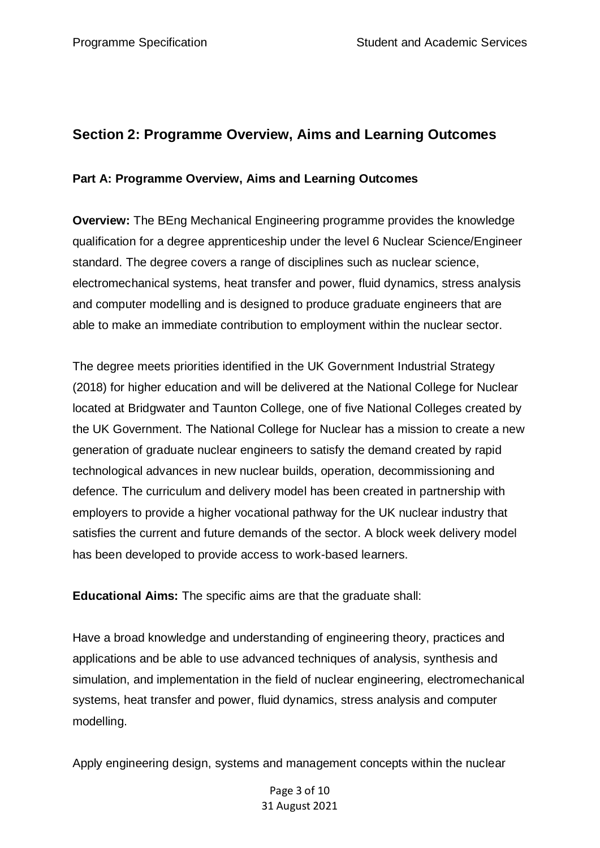## <span id="page-2-0"></span>**Section 2: Programme Overview, Aims and Learning Outcomes**

#### <span id="page-2-1"></span>**Part A: Programme Overview, Aims and Learning Outcomes**

**Overview:** The BEng Mechanical Engineering programme provides the knowledge qualification for a degree apprenticeship under the level 6 Nuclear Science/Engineer standard. The degree covers a range of disciplines such as nuclear science, electromechanical systems, heat transfer and power, fluid dynamics, stress analysis and computer modelling and is designed to produce graduate engineers that are able to make an immediate contribution to employment within the nuclear sector.

The degree meets priorities identified in the UK Government Industrial Strategy (2018) for higher education and will be delivered at the National College for Nuclear located at Bridgwater and Taunton College, one of five National Colleges created by the UK Government. The National College for Nuclear has a mission to create a new generation of graduate nuclear engineers to satisfy the demand created by rapid technological advances in new nuclear builds, operation, decommissioning and defence. The curriculum and delivery model has been created in partnership with employers to provide a higher vocational pathway for the UK nuclear industry that satisfies the current and future demands of the sector. A block week delivery model has been developed to provide access to work-based learners.

**Educational Aims:** The specific aims are that the graduate shall:

Have a broad knowledge and understanding of engineering theory, practices and applications and be able to use advanced techniques of analysis, synthesis and simulation, and implementation in the field of nuclear engineering, electromechanical systems, heat transfer and power, fluid dynamics, stress analysis and computer modelling.

Apply engineering design, systems and management concepts within the nuclear

Page 3 of 10 31 August 2021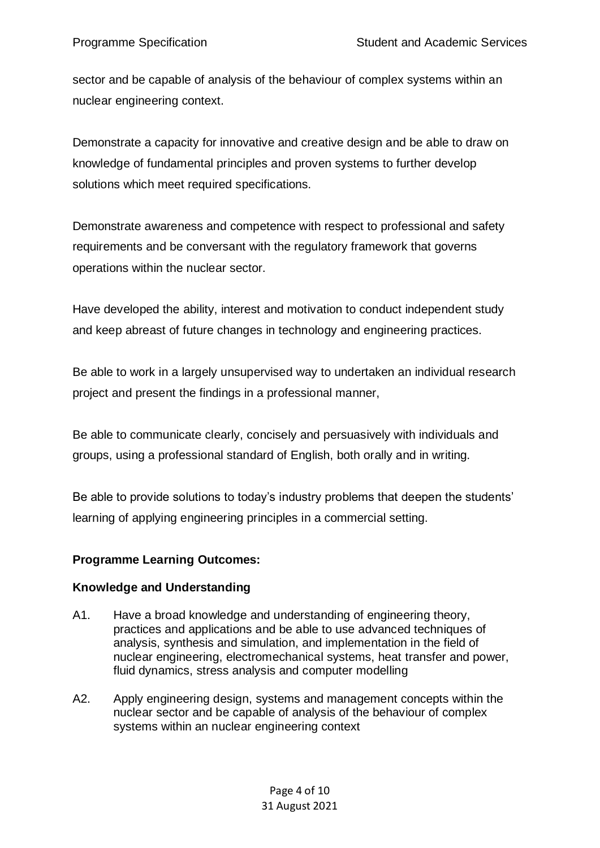sector and be capable of analysis of the behaviour of complex systems within an nuclear engineering context.

Demonstrate a capacity for innovative and creative design and be able to draw on knowledge of fundamental principles and proven systems to further develop solutions which meet required specifications.

Demonstrate awareness and competence with respect to professional and safety requirements and be conversant with the regulatory framework that governs operations within the nuclear sector.

Have developed the ability, interest and motivation to conduct independent study and keep abreast of future changes in technology and engineering practices.

Be able to work in a largely unsupervised way to undertaken an individual research project and present the findings in a professional manner,

Be able to communicate clearly, concisely and persuasively with individuals and groups, using a professional standard of English, both orally and in writing.

Be able to provide solutions to today's industry problems that deepen the students' learning of applying engineering principles in a commercial setting.

### **Programme Learning Outcomes:**

#### **Knowledge and Understanding**

- A1. Have a broad knowledge and understanding of engineering theory, practices and applications and be able to use advanced techniques of analysis, synthesis and simulation, and implementation in the field of nuclear engineering, electromechanical systems, heat transfer and power, fluid dynamics, stress analysis and computer modelling
- A2. Apply engineering design, systems and management concepts within the nuclear sector and be capable of analysis of the behaviour of complex systems within an nuclear engineering context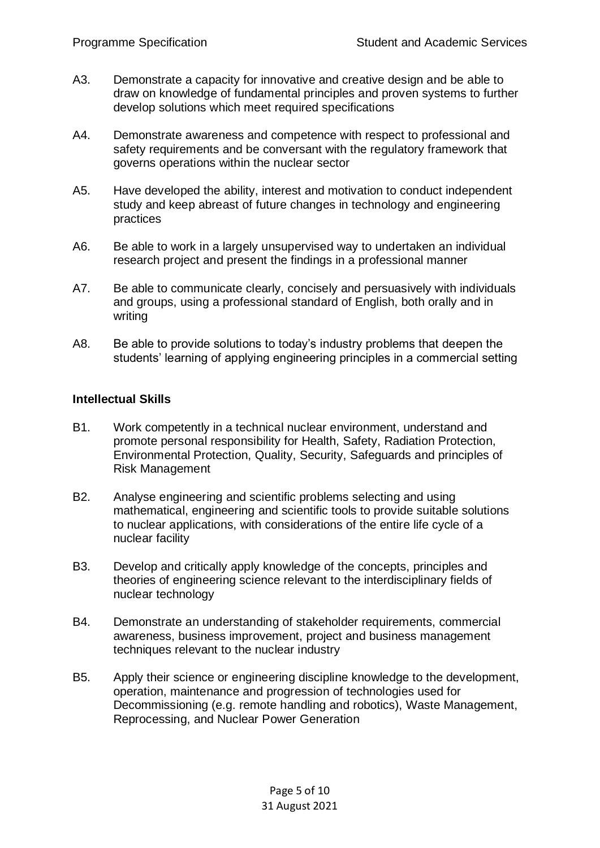- A3. Demonstrate a capacity for innovative and creative design and be able to draw on knowledge of fundamental principles and proven systems to further develop solutions which meet required specifications
- A4. Demonstrate awareness and competence with respect to professional and safety requirements and be conversant with the regulatory framework that governs operations within the nuclear sector
- A5. Have developed the ability, interest and motivation to conduct independent study and keep abreast of future changes in technology and engineering practices
- A6. Be able to work in a largely unsupervised way to undertaken an individual research project and present the findings in a professional manner
- A7. Be able to communicate clearly, concisely and persuasively with individuals and groups, using a professional standard of English, both orally and in writing
- A8. Be able to provide solutions to today's industry problems that deepen the students' learning of applying engineering principles in a commercial setting

#### **Intellectual Skills**

- B1. Work competently in a technical nuclear environment, understand and promote personal responsibility for Health, Safety, Radiation Protection, Environmental Protection, Quality, Security, Safeguards and principles of Risk Management
- B2. Analyse engineering and scientific problems selecting and using mathematical, engineering and scientific tools to provide suitable solutions to nuclear applications, with considerations of the entire life cycle of a nuclear facility
- B3. Develop and critically apply knowledge of the concepts, principles and theories of engineering science relevant to the interdisciplinary fields of nuclear technology
- B4. Demonstrate an understanding of stakeholder requirements, commercial awareness, business improvement, project and business management techniques relevant to the nuclear industry
- B5. Apply their science or engineering discipline knowledge to the development, operation, maintenance and progression of technologies used for Decommissioning (e.g. remote handling and robotics), Waste Management, Reprocessing, and Nuclear Power Generation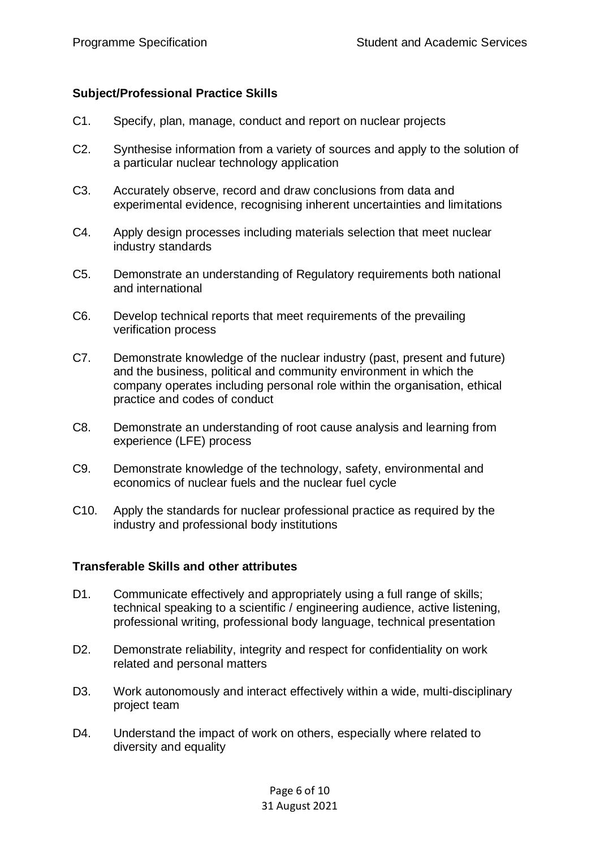#### **Subject/Professional Practice Skills**

- C1. Specify, plan, manage, conduct and report on nuclear projects
- C2. Synthesise information from a variety of sources and apply to the solution of a particular nuclear technology application
- C3. Accurately observe, record and draw conclusions from data and experimental evidence, recognising inherent uncertainties and limitations
- C4. Apply design processes including materials selection that meet nuclear industry standards
- C5. Demonstrate an understanding of Regulatory requirements both national and international
- C6. Develop technical reports that meet requirements of the prevailing verification process
- C7. Demonstrate knowledge of the nuclear industry (past, present and future) and the business, political and community environment in which the company operates including personal role within the organisation, ethical practice and codes of conduct
- C8. Demonstrate an understanding of root cause analysis and learning from experience (LFE) process
- C9. Demonstrate knowledge of the technology, safety, environmental and economics of nuclear fuels and the nuclear fuel cycle
- C10. Apply the standards for nuclear professional practice as required by the industry and professional body institutions

#### **Transferable Skills and other attributes**

- D1. Communicate effectively and appropriately using a full range of skills; technical speaking to a scientific / engineering audience, active listening, professional writing, professional body language, technical presentation
- D2. Demonstrate reliability, integrity and respect for confidentiality on work related and personal matters
- D3. Work autonomously and interact effectively within a wide, multi-disciplinary project team
- D4. Understand the impact of work on others, especially where related to diversity and equality

Page 6 of 10 31 August 2021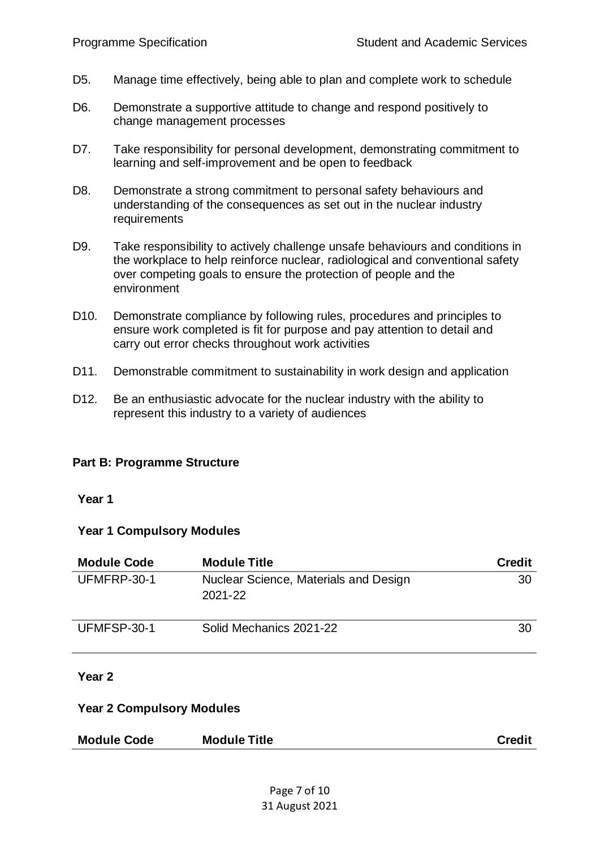- D5. Manage time effectively, being able to plan and complete work to schedule
- D6. Demonstrate a supportive attitude to change and respond positively to change management processes
- D7. Take responsibility for personal development, demonstrating commitment to learning and self-improvement and be open to feedback
- D8. Demonstrate a strong commitment to personal safety behaviours and understanding of the consequences as set out in the nuclear industry requirements
- D9. Take responsibility to actively challenge unsafe behaviours and conditions in the workplace to help reinforce nuclear, radiological and conventional safety over competing goals to ensure the protection of people and the environment
- D10. Demonstrate compliance by following rules, procedures and principles to ensure work completed is fit for purpose and pay attention to detail and carry out error checks throughout work activities
- D11. Demonstrable commitment to sustainability in work design and application
- D12. Be an enthusiastic advocate for the nuclear industry with the ability to represent this industry to a variety of audiences

#### <span id="page-6-0"></span>**Part B: Programme Structure**

#### **Year 1**

#### **Year 1 Compulsory Modules**

| <b>Module Code</b> | <b>Module Title</b>                              | <b>Credit</b> |
|--------------------|--------------------------------------------------|---------------|
| UFMFRP-30-1        | Nuclear Science, Materials and Design<br>2021-22 | 30            |
| UFMFSP-30-1        | Solid Mechanics 2021-22                          | 30            |

#### **Year 2**

#### **Year 2 Compulsory Modules**

| <b>Module Code</b> | <b>Module Title</b> | <b>Credit</b> |
|--------------------|---------------------|---------------|
|--------------------|---------------------|---------------|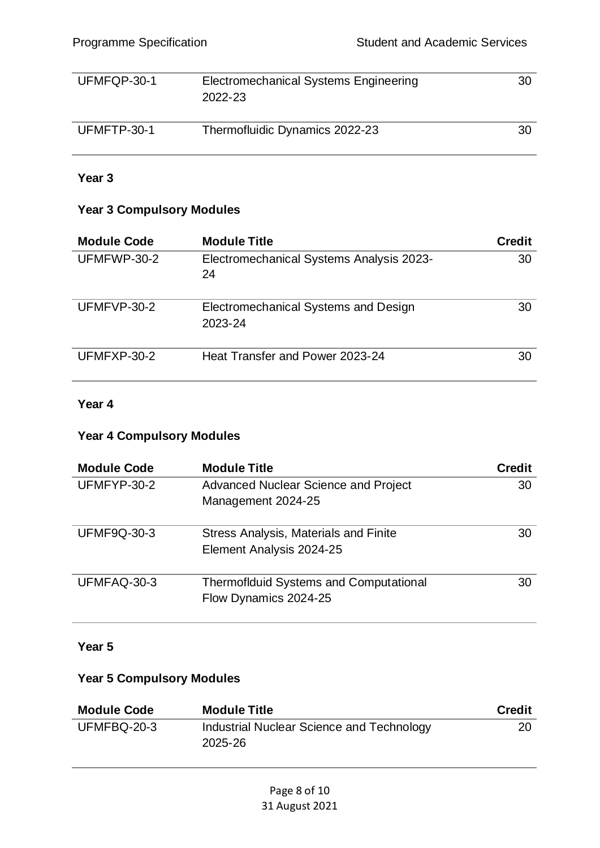| UFMFQP-30-1 | Electromechanical Systems Engineering<br>2022-23 | 30 |
|-------------|--------------------------------------------------|----|
| UFMFTP-30-1 | Thermofluidic Dynamics 2022-23                   | 30 |

#### **Year 3**

#### **Year 3 Compulsory Modules**

| <b>Module Code</b> | <b>Module Title</b>                             | <b>Credit</b> |
|--------------------|-------------------------------------------------|---------------|
| UFMFWP-30-2        | Electromechanical Systems Analysis 2023-<br>24  | 30            |
| UFMFVP-30-2        | Electromechanical Systems and Design<br>2023-24 | 30            |
| UFMFXP-30-2        | Heat Transfer and Power 2023-24                 | 30            |

## **Year 4**

#### **Year 4 Compulsory Modules**

| <b>Module Code</b> | <b>Module Title</b>                                                    | <b>Credit</b> |
|--------------------|------------------------------------------------------------------------|---------------|
| UFMFYP-30-2        | <b>Advanced Nuclear Science and Project</b><br>Management 2024-25      | 30            |
| <b>UFMF9Q-30-3</b> | Stress Analysis, Materials and Finite<br>Element Analysis 2024-25      | 30            |
| UFMFAQ-30-3        | <b>Thermoflduid Systems and Computational</b><br>Flow Dynamics 2024-25 | 30            |

#### **Year 5**

#### **Year 5 Compulsory Modules**

| <b>Module Code</b> | <b>Module Title</b>                                  | <b>Credit</b> |
|--------------------|------------------------------------------------------|---------------|
| UFMFBQ-20-3        | Industrial Nuclear Science and Technology<br>2025-26 | 20            |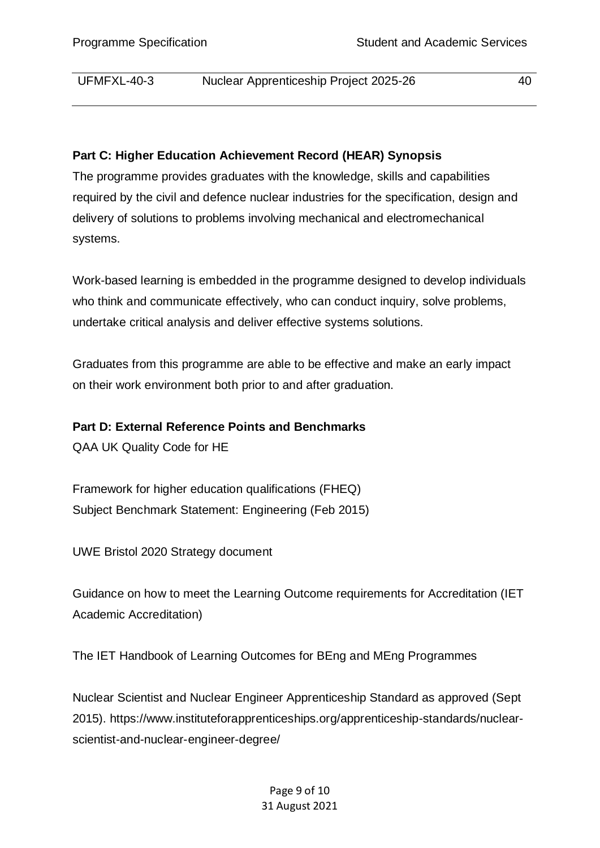UFMFXL-40-3 Nuclear Apprenticeship Project 2025-26 40

#### <span id="page-8-0"></span>**Part C: Higher Education Achievement Record (HEAR) Synopsis**

The programme provides graduates with the knowledge, skills and capabilities required by the civil and defence nuclear industries for the specification, design and delivery of solutions to problems involving mechanical and electromechanical systems.

Work-based learning is embedded in the programme designed to develop individuals who think and communicate effectively, who can conduct inquiry, solve problems, undertake critical analysis and deliver effective systems solutions.

Graduates from this programme are able to be effective and make an early impact on their work environment both prior to and after graduation.

#### <span id="page-8-1"></span>**Part D: External Reference Points and Benchmarks**

QAA UK Quality Code for HE

Framework for higher education qualifications (FHEQ) Subject Benchmark Statement: Engineering (Feb 2015)

UWE Bristol 2020 Strategy document

Guidance on how to meet the Learning Outcome requirements for Accreditation (IET Academic Accreditation)

The IET Handbook of Learning Outcomes for BEng and MEng Programmes

Nuclear Scientist and Nuclear Engineer Apprenticeship Standard as approved (Sept 2015). https://www.instituteforapprenticeships.org/apprenticeship-standards/nuclearscientist-and-nuclear-engineer-degree/

> Page 9 of 10 31 August 2021